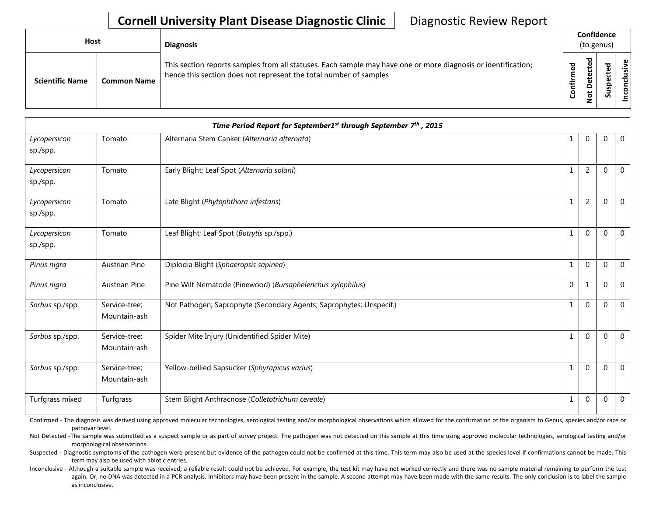## **Cornell University Plant Disease Diagnostic Clinic** | Diagnostic Review Report

| Host                   |                    | <b>Diagnosis</b>                                                                                                                                                                   | Confidence<br>(to genus)    |    |              |  |
|------------------------|--------------------|------------------------------------------------------------------------------------------------------------------------------------------------------------------------------------|-----------------------------|----|--------------|--|
| <b>Scientific Name</b> | <b>Common Name</b> | This section reports samples from all statuses. Each sample may have one or more diagnosis or identification;<br>hence this section does not represent the total number of samples | ᇴ<br>ω<br>∉<br>$\circ$<br>Ū | ֻש | ਠ<br>요<br>s. |  |

| Time Period Report for September1 <sup>st</sup> through September 7 <sup>th</sup> , 2015 |                               |                                                                     |              |                |             |              |  |
|------------------------------------------------------------------------------------------|-------------------------------|---------------------------------------------------------------------|--------------|----------------|-------------|--------------|--|
| Lycopersicon<br>sp./spp.                                                                 | Tomato                        | Alternaria Stem Canker (Alternaria alternata)                       | 1            | $\Omega$       | 0           | $\mathbf 0$  |  |
| Lycopersicon<br>sp./spp.                                                                 | Tomato                        | Early Blight; Leaf Spot (Alternaria solani)                         | $\mathbf{1}$ | $\overline{2}$ | 0           | $\mathbf{0}$ |  |
| Lycopersicon<br>sp./spp.                                                                 | Tomato                        | Late Blight (Phytophthora infestans)                                | 1            | $\overline{2}$ | 0           | 0            |  |
| Lycopersicon<br>sp./spp.                                                                 | Tomato                        | Leaf Blight; Leaf Spot (Botrytis sp./spp.)                          | $\mathbf{1}$ | $\Omega$       | $\Omega$    | $\mathbf{0}$ |  |
| Pinus nigra                                                                              | <b>Austrian Pine</b>          | Diplodia Blight (Sphaeropsis sapinea)                               | $\mathbf{1}$ | $\Omega$       | $\Omega$    | $\mathbf{0}$ |  |
| Pinus nigra                                                                              | Austrian Pine                 | Pine Wilt Nematode (Pinewood) (Bursaphelenchus xylophilus)          | $\Omega$     | $\mathbf{1}$   | $\Omega$    | $\mathbf{0}$ |  |
| Sorbus sp./spp.                                                                          | Service-tree;<br>Mountain-ash | Not Pathogen; Saprophyte (Secondary Agents; Saprophytes; Unspecif.) | $\mathbf{1}$ | $\mathbf{0}$   | $\Omega$    | 0            |  |
| Sorbus sp./spp.                                                                          | Service-tree;<br>Mountain-ash | Spider Mite Injury (Unidentified Spider Mite)                       | $\mathbf{1}$ | $\Omega$       | $\Omega$    | $\mathbf 0$  |  |
| Sorbus sp./spp.                                                                          | Service-tree;<br>Mountain-ash | Yellow-bellied Sapsucker (Sphyrapicus varius)                       | $\mathbf{1}$ | $\Omega$       | $\mathbf 0$ | $\mathbf 0$  |  |
| Turfgrass mixed                                                                          | Turfgrass                     | Stem Blight Anthracnose (Colletotrichum cereale)                    | $\mathbf{1}$ | $\mathbf{0}$   | $\mathbf 0$ | $\mathbf 0$  |  |

Confirmed - The diagnosis was derived using approved molecular technologies, serological testing and/or morphological observations which allowed for the confirmation of the organism to Genus, species and/or race or pathovar level.

Not Detected -The sample was submitted as a suspect sample or as part of survey project. The pathogen was not detected on this sample at this time using approved molecular technologies, serological testing and/or morphological observations.

Suspected - Diagnostic symptoms of the pathogen were present but evidence of the pathogen could not be confirmed at this time. This term may also be used at the species level if confirmations cannot be made. This term may also be used with abiotic entries.

Inconclusive - Although a suitable sample was received, a reliable result could not be achieved. For example, the test kit may have not worked correctly and there was no sample material remaining to perform the test again. Or, no DNA was detected in a PCR analysis. Inhibitors may have been present in the sample. A second attempt may have been made with the same results. The only conclusion is to label the sample as inconclusive.